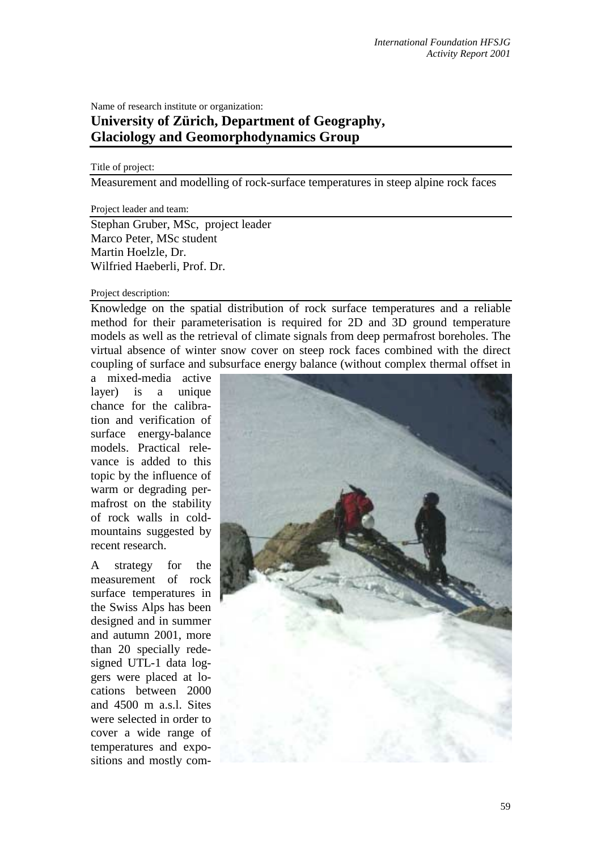## Name of research institute or organization: **University of Zürich, Department of Geography, Glaciology and Geomorphodynamics Group**

## Title of project:

Measurement and modelling of rock-surface temperatures in steep alpine rock faces

Project leader and team:

Stephan Gruber, MSc, project leader Marco Peter, MSc student Martin Hoelzle, Dr. Wilfried Haeberli, Prof. Dr.

## Project description:

Knowledge on the spatial distribution of rock surface temperatures and a reliable method for their parameterisation is required for 2D and 3D ground temperature models as well as the retrieval of climate signals from deep permafrost boreholes. The virtual absence of winter snow cover on steep rock faces combined with the direct coupling of surface and subsurface energy balance (without complex thermal offset in

a mixed-media active layer) is a unique chance for the calibration and verification of surface energy-balance models. Practical relevance is added to this topic by the influence of warm or degrading permafrost on the stability of rock walls in coldmountains suggested by recent research.

A strategy for the measurement of rock surface temperatures in the Swiss Alps has been designed and in summer and autumn 2001, more than 20 specially redesigned UTL-1 data loggers were placed at locations between 2000 and  $4500$  m a.s.l. Sites were selected in order to cover a wide range of temperatures and expositions and mostly com-